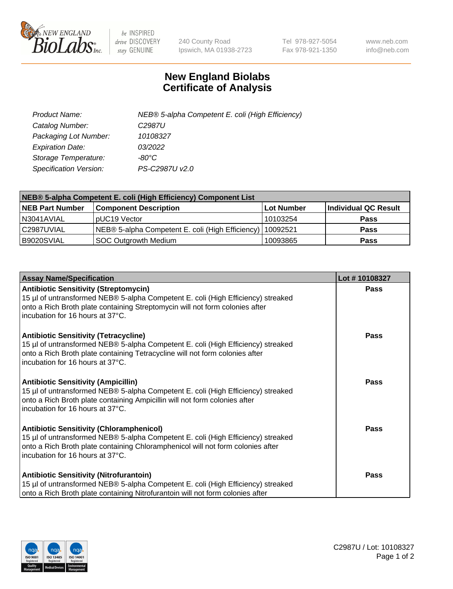

 $be$  INSPIRED drive DISCOVERY stay GENUINE

240 County Road Ipswich, MA 01938-2723 Tel 978-927-5054 Fax 978-921-1350 www.neb.com info@neb.com

## **New England Biolabs Certificate of Analysis**

| Product Name:                 | NEB® 5-alpha Competent E. coli (High Efficiency) |
|-------------------------------|--------------------------------------------------|
| Catalog Number:               | C <sub>2987</sub> U                              |
| Packaging Lot Number:         | 10108327                                         |
| <b>Expiration Date:</b>       | 03/2022                                          |
| Storage Temperature:          | -80°C                                            |
| <b>Specification Version:</b> | PS-C2987U v2.0                                   |

| NEB® 5-alpha Competent E. coli (High Efficiency) Component List |                                                  |            |                      |  |
|-----------------------------------------------------------------|--------------------------------------------------|------------|----------------------|--|
| <b>NEB Part Number</b>                                          | <b>Component Description</b>                     | Lot Number | Individual QC Result |  |
| N3041AVIAL                                                      | pUC19 Vector                                     | 10103254   | <b>Pass</b>          |  |
| C2987UVIAL                                                      | NEB® 5-alpha Competent E. coli (High Efficiency) | l 10092521 | <b>Pass</b>          |  |
| B9020SVIAL                                                      | <b>SOC Outgrowth Medium</b>                      | 10093865   | <b>Pass</b>          |  |

| <b>Assay Name/Specification</b>                                                                                                                                                                                                                            | Lot #10108327 |
|------------------------------------------------------------------------------------------------------------------------------------------------------------------------------------------------------------------------------------------------------------|---------------|
| <b>Antibiotic Sensitivity (Streptomycin)</b><br>15 µl of untransformed NEB® 5-alpha Competent E. coli (High Efficiency) streaked<br>onto a Rich Broth plate containing Streptomycin will not form colonies after<br>incubation for 16 hours at 37°C.       | Pass          |
| <b>Antibiotic Sensitivity (Tetracycline)</b><br>15 µl of untransformed NEB® 5-alpha Competent E. coli (High Efficiency) streaked<br>onto a Rich Broth plate containing Tetracycline will not form colonies after<br>incubation for 16 hours at 37°C.       | Pass          |
| <b>Antibiotic Sensitivity (Ampicillin)</b><br>15 µl of untransformed NEB® 5-alpha Competent E. coli (High Efficiency) streaked<br>onto a Rich Broth plate containing Ampicillin will not form colonies after<br>incubation for 16 hours at 37°C.           | Pass          |
| <b>Antibiotic Sensitivity (Chloramphenicol)</b><br>15 µl of untransformed NEB® 5-alpha Competent E. coli (High Efficiency) streaked<br>onto a Rich Broth plate containing Chloramphenicol will not form colonies after<br>incubation for 16 hours at 37°C. | <b>Pass</b>   |
| <b>Antibiotic Sensitivity (Nitrofurantoin)</b><br>15 µl of untransformed NEB® 5-alpha Competent E. coli (High Efficiency) streaked<br>onto a Rich Broth plate containing Nitrofurantoin will not form colonies after                                       | Pass          |